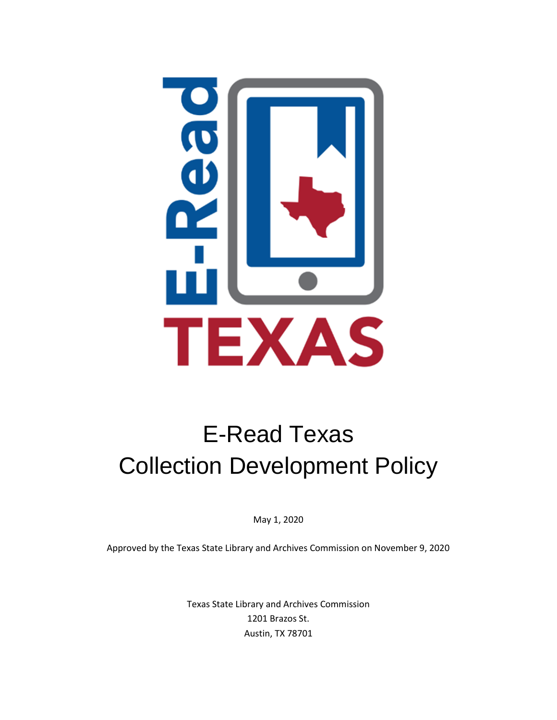

# E-Read Texas Collection Development Policy

May 1, 2020

Approved by the Texas State Library and Archives Commission on November 9, 2020

Texas State Library and Archives Commission 1201 Brazos St. Austin, TX 78701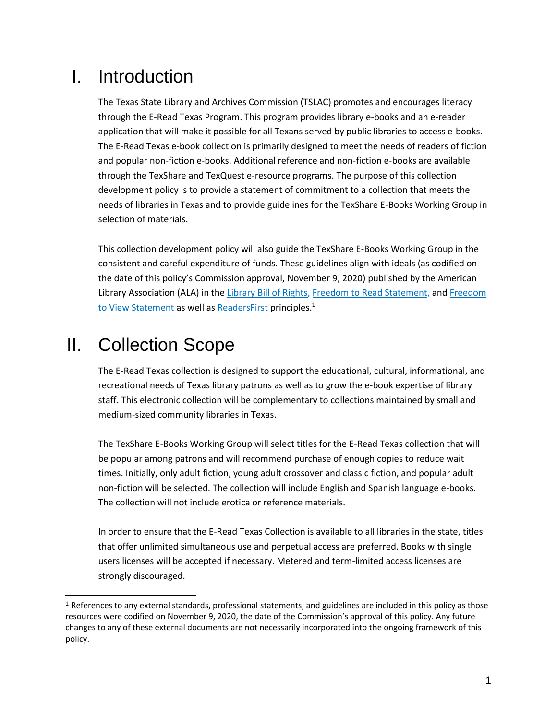#### I. Introduction

The Texas State Library and Archives Commission (TSLAC) promotes and encourages literacy through the E-Read Texas Program. This program provides library e-books and an e-reader application that will make it possible for all Texans served by public libraries to access e-books. The E-Read Texas e-book collection is primarily designed to meet the needs of readers of fiction and popular non-fiction e-books. Additional reference and non-fiction e-books are available through the TexShare and TexQuest e-resource programs. The purpose of this collection development policy is to provide a statement of commitment to a collection that meets the needs of libraries in Texas and to provide guidelines for the TexShare E-Books Working Group in selection of materials.

This collection development policy will also guide the TexShare E-Books Working Group in the consistent and careful expenditure of funds. These guidelines align with ideals (as codified on the date of this policy's Commission approval, November 9, 2020) published by the American Library Association (ALA) in th[e Library Bill of Rights,](http://www.ala.org/advocacy/sites/ala.org.advocacy/files/content/LBORwithInterpretations.pdf) [Freedom to Read Statement,](http://www.ala.org/advocacy/intfreedom/freedomreadstatement) and Freedom [to View Statement](http://www.ala.org/advocacy/intfreedom/freedomviewstatement) as well as [ReadersFirst](http://www.readersfirst.org/) principles.<sup>1</sup>

# II. Collection Scope

The E-Read Texas collection is designed to support the educational, cultural, informational, and recreational needs of Texas library patrons as well as to grow the e-book expertise of library staff. This electronic collection will be complementary to collections maintained by small and medium-sized community libraries in Texas.

The TexShare E-Books Working Group will select titles for the E-Read Texas collection that will be popular among patrons and will recommend purchase of enough copies to reduce wait times. Initially, only adult fiction, young adult crossover and classic fiction, and popular adult non-fiction will be selected. The collection will include English and Spanish language e-books. The collection will not include erotica or reference materials.

In order to ensure that the E-Read Texas Collection is available to all libraries in the state, titles that offer unlimited simultaneous use and perpetual access are preferred. Books with single users licenses will be accepted if necessary. Metered and term-limited access licenses are strongly discouraged.

<sup>&</sup>lt;sup>1</sup> References to any external standards, professional statements, and guidelines are included in this policy as those resources were codified on November 9, 2020, the date of the Commission's approval of this policy. Any future changes to any of these external documents are not necessarily incorporated into the ongoing framework of this policy.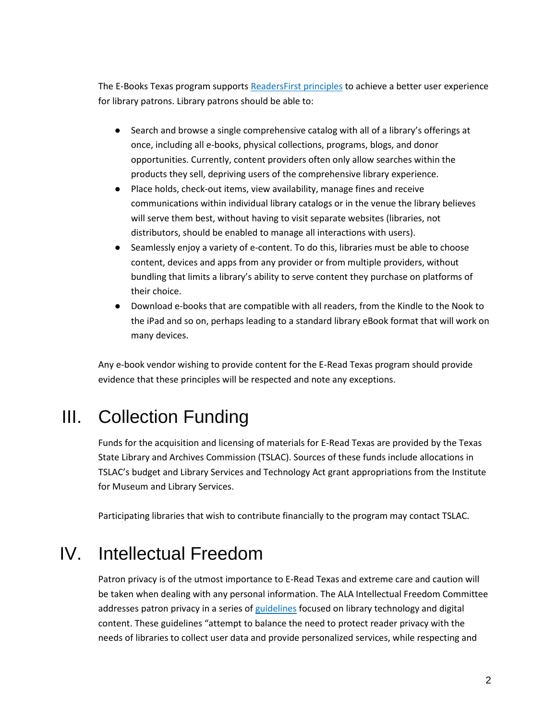The E-Books Texas program support[s ReadersFirst principles](http://www.readersfirst.org/program) to achieve a better user experience for library patrons. Library patrons should be able to:

- Search and browse a single comprehensive catalog with all of a library's offerings at once, including all e-books, physical collections, programs, blogs, and donor opportunities. Currently, content providers often only allow searches within the products they sell, depriving users of the comprehensive library experience.
- Place holds, check-out items, view availability, manage fines and receive communications within individual library catalogs or in the venue the library believes will serve them best, without having to visit separate websites (libraries, not distributors, should be enabled to manage all interactions with users).
- Seamlessly enjoy a variety of e-content. To do this, libraries must be able to choose content, devices and apps from any provider or from multiple providers, without bundling that limits a library's ability to serve content they purchase on platforms of their choice.
- Download e-books that are compatible with all readers, from the Kindle to the Nook to the iPad and so on, perhaps leading to a standard library eBook format that will work on many devices.

Any e-book vendor wishing to provide content for the E-Read Texas program should provide evidence that these principles will be respected and note any exceptions.

# III. Collection Funding

Funds for the acquisition and licensing of materials for E-Read Texas are provided by the Texas State Library and Archives Commission (TSLAC). Sources of these funds include allocations in TSLAC's budget and Library Services and Technology Act grant appropriations from the Institute for Museum and Library Services.

Participating libraries that wish to contribute financially to the program may contact TSLAC.

# IV. Intellectual Freedom

Patron privacy is of the utmost importance to E-Read Texas and extreme care and caution will be taken when dealing with any personal information. The ALA Intellectual Freedom Committee addresses patron privacy in a series o[f guidelines](http://www.ala.org/advocacy/privacy/guidelines/vendors) focused on library technology and digital content. These guidelines "attempt to balance the need to protect reader privacy with the needs of libraries to collect user data and provide personalized services, while respecting and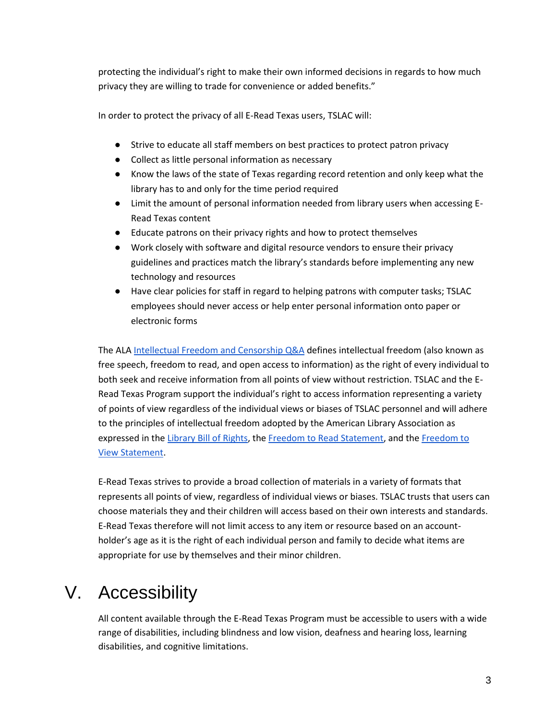protecting the individual's right to make their own informed decisions in regards to how much privacy they are willing to trade for convenience or added benefits."

In order to protect the privacy of all E-Read Texas users, TSLAC will:

- Strive to educate all staff members on best practices to protect patron privacy
- Collect as little personal information as necessary
- Know the laws of the state of Texas regarding record retention and only keep what the library has to and only for the time period required
- Limit the amount of personal information needed from library users when accessing E-Read Texas content
- Educate patrons on their privacy rights and how to protect themselves
- Work closely with software and digital resource vendors to ensure their privacy guidelines and practices match the library's standards before implementing any new technology and resources
- Have clear policies for staff in regard to helping patrons with computer tasks; TSLAC employees should never access or help enter personal information onto paper or electronic forms

The ALA [Intellectual Freedom and Censorship Q&A](http://www.ala.org/advocacy/intfreedom/censorship/faq) defines intellectual freedom (also known as free speech, freedom to read, and open access to information) as the right of every individual to both seek and receive information from all points of view without restriction. TSLAC and the E-Read Texas Program support the individual's right to access information representing a variety of points of view regardless of the individual views or biases of TSLAC personnel and will adhere to the principles of intellectual freedom adopted by the American Library Association as expressed in the [Library Bill of Rights,](http://www.ala.org/advocacy/intfreedom/librarybill) the [Freedom to Read Statement,](http://www.ala.org/advocacy/intfreedom/freedomreadstatement) and the Freedom to [View Statement.](http://www.ala.org/rt/vrt/professionalresources/vrtresources/freedomtoview)

E-Read Texas strives to provide a broad collection of materials in a variety of formats that represents all points of view, regardless of individual views or biases. TSLAC trusts that users can choose materials they and their children will access based on their own interests and standards. E-Read Texas therefore will not limit access to any item or resource based on an accountholder's age as it is the right of each individual person and family to decide what items are appropriate for use by themselves and their minor children.

# V. Accessibility

All content available through the E-Read Texas Program must be accessible to users with a wide range of disabilities, including blindness and low vision, deafness and hearing loss, learning disabilities, and cognitive limitations.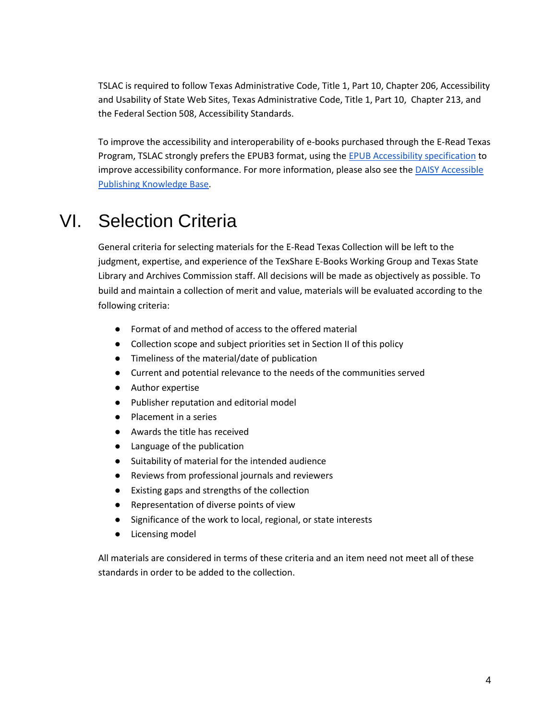TSLAC is required to follow Texas Administrative Code, Title 1, Part 10, Chapter 206, Accessibility and Usability of State Web Sites, Texas Administrative Code, Title 1, Part 10, Chapter 213, and the Federal Section 508, Accessibility Standards.

To improve the accessibility and interoperability of e-books purchased through the E-Read Texas Program, TSLAC strongly prefers the EPUB3 format, using the [EPUB Accessibility specification](http://kb.daisy.org/publishing/docs/conformance/epub.html) to improve accessibility conformance. For more information, please also see the DAISY Accessible [Publishing Knowledge Base.](http://kb.daisy.org/publishing/docs/conformance/epub.html)

#### VI. Selection Criteria

General criteria for selecting materials for the E-Read Texas Collection will be left to the judgment, expertise, and experience of the TexShare E-Books Working Group and Texas State Library and Archives Commission staff. All decisions will be made as objectively as possible. To build and maintain a collection of merit and value, materials will be evaluated according to the following criteria:

- Format of and method of access to the offered material
- Collection scope and subject priorities set in Section II of this policy
- Timeliness of the material/date of publication
- Current and potential relevance to the needs of the communities served
- Author expertise
- Publisher reputation and editorial model
- Placement in a series
- Awards the title has received
- Language of the publication
- Suitability of material for the intended audience
- Reviews from professional journals and reviewers
- Existing gaps and strengths of the collection
- Representation of diverse points of view
- Significance of the work to local, regional, or state interests
- Licensing model

All materials are considered in terms of these criteria and an item need not meet all of these standards in order to be added to the collection.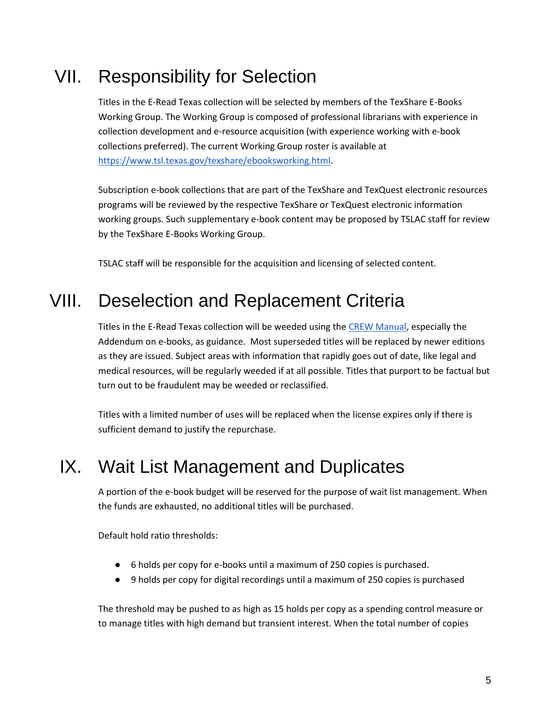# VII. Responsibility for Selection

Titles in the E-Read Texas collection will be selected by members of the TexShare E-Books Working Group. The Working Group is composed of professional librarians with experience in collection development and e-resource acquisition (with experience working with e-book collections preferred). The current Working Group roster is available at [https://www.tsl.texas.gov/texshare/ebooksworking.html.](https://www.tsl.texas.gov/texshare/ebooksworking.html)

Subscription e-book collections that are part of the TexShare and TexQuest electronic resources programs will be reviewed by the respective TexShare or TexQuest electronic information working groups. Such supplementary e-book content may be proposed by TSLAC staff for review by the TexShare E-Books Working Group.

TSLAC staff will be responsible for the acquisition and licensing of selected content.

# VIII. Deselection and Replacement Criteria

Titles in the E-Read Texas collection will be weeded using the [CREW Manual,](https://www.tsl.texas.gov/ld/pubs/crew/index.html) especially the Addendum on e-books, as guidance. Most superseded titles will be replaced by newer editions as they are issued. Subject areas with information that rapidly goes out of date, like legal and medical resources, will be regularly weeded if at all possible. Titles that purport to be factual but turn out to be fraudulent may be weeded or reclassified.

Titles with a limited number of uses will be replaced when the license expires only if there is sufficient demand to justify the repurchase.

# IX. Wait List Management and Duplicates

A portion of the e-book budget will be reserved for the purpose of wait list management. When the funds are exhausted, no additional titles will be purchased.

Default hold ratio thresholds:

- 6 holds per copy for e-books until a maximum of 250 copies is purchased.
- 9 holds per copy for digital recordings until a maximum of 250 copies is purchased

The threshold may be pushed to as high as 15 holds per copy as a spending control measure or to manage titles with high demand but transient interest. When the total number of copies